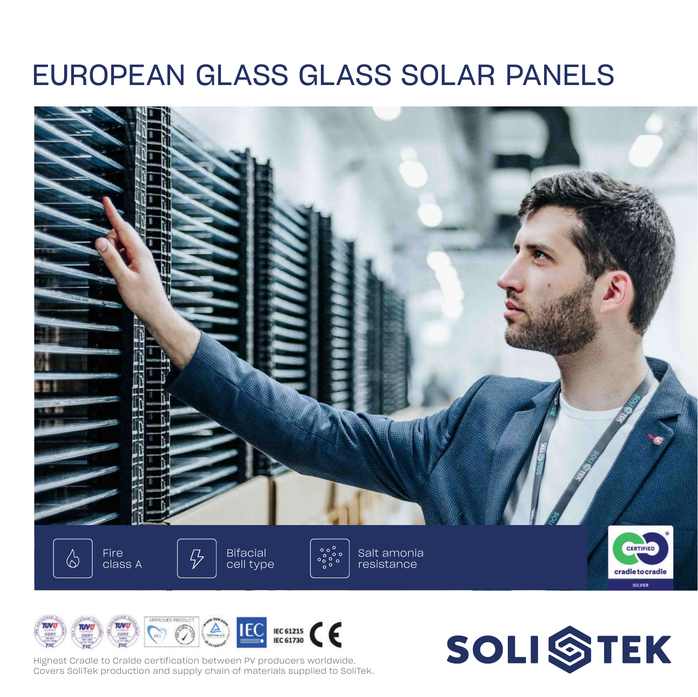## EUROPEAN GLASS GLASS SOLAR PANELS





Highest Cradle to Cralde certification between PV producers worldwide. Covers SoliTek production and supply chain of materials supplied to SoliTek.

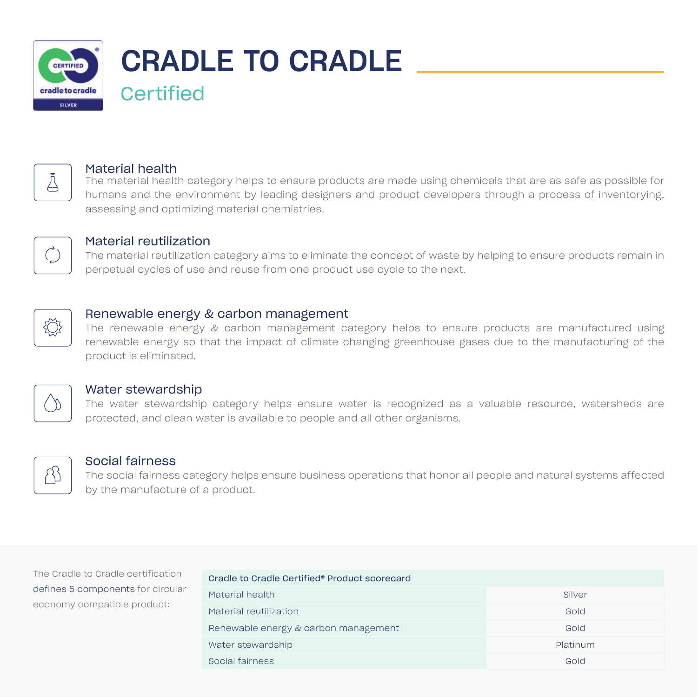



#### Material health

The material health category helps to ensure products are made using chemicals that are as safe as possible for humans and the environment by leading designers and product developers through a process of inventorying, assessing and optimizing material chemistries.



#### Material reutilization

The material reutilization category aims to eliminate the concept of waste by helping to ensure products remain in perpetual cycles of use and reuse from one product use cycle to the next.



#### Renewable energy & carbon management

The renewable energy & carbon management category helps to ensure products are manufactured using renewable energy so that the impact of climate changing greenhouse gases due to the manufacturing of the product is eliminated.



#### Water stewardship

The water stewardship category helps ensure water is recognized as a valuable resource, watersheds are protected, and clean water is available to people and all other organisms.



#### Social fairness

The social fairness category helps ensure business operations that honor all people and natural systems affected by the manufacture of a product.

The Cradle to Cradle certification defines 5 components for circular economy compatible product:

| Cradle to Cradle Certified® Product scorecard |          |
|-----------------------------------------------|----------|
| Material health                               | Silver   |
| Material reutilization                        | Gold     |
| Renewable energy & carbon management          | Gold     |
| Water stewardship                             | Platinum |
| Social fairness                               | Gold     |
|                                               |          |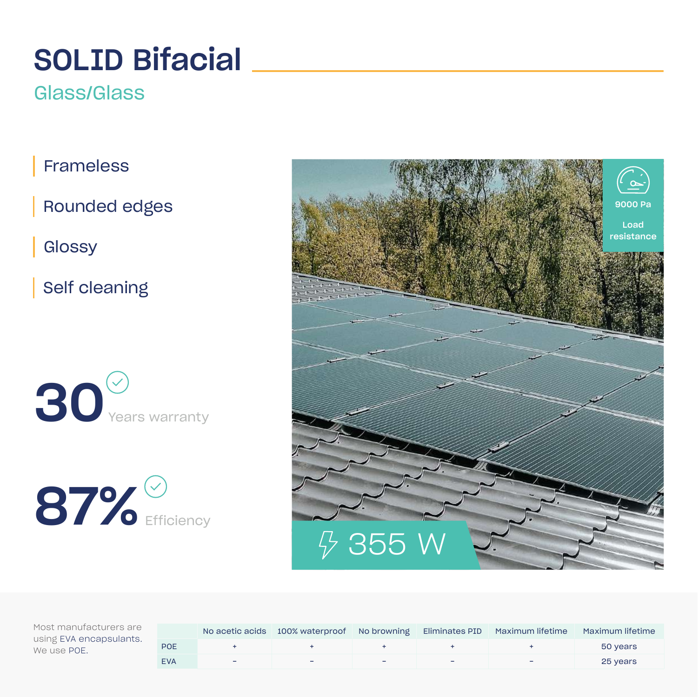# SOLID Bifacial

### Glass/Glass

Frameless

Rounded edges

**Glossy** 

Self cleaning







|            |                          |   |   |   | No acetic acids 100% waterproof No browning Eliminates PID Maximum lifetime Maximum lifetime |          |
|------------|--------------------------|---|---|---|----------------------------------------------------------------------------------------------|----------|
| POE        |                          |   |   |   |                                                                                              | 50 years |
| <b>EVA</b> | $\overline{\phantom{a}}$ | - | - | - |                                                                                              | 25 years |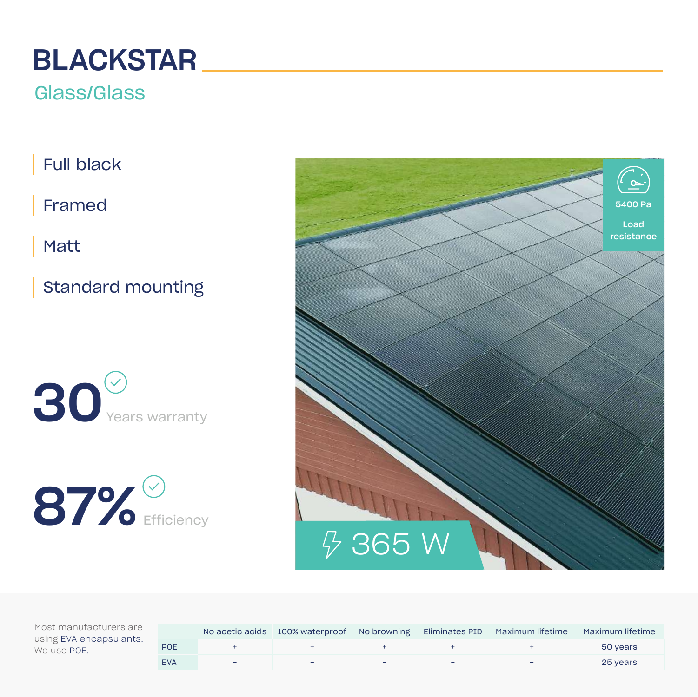# **BLACKSTAR**

### Glass/Glass

Full black

Framed

Matt

Standard mounting







|            |                          |                          |  | No acetic acids 100% waterproof No browning Eliminates PID Maximum lifetime | Maximum lifetime |
|------------|--------------------------|--------------------------|--|-----------------------------------------------------------------------------|------------------|
| POE        |                          |                          |  |                                                                             | 50 years         |
| <b>EVA</b> | $\overline{\phantom{a}}$ | $\overline{\phantom{a}}$ |  | -                                                                           | 25 years         |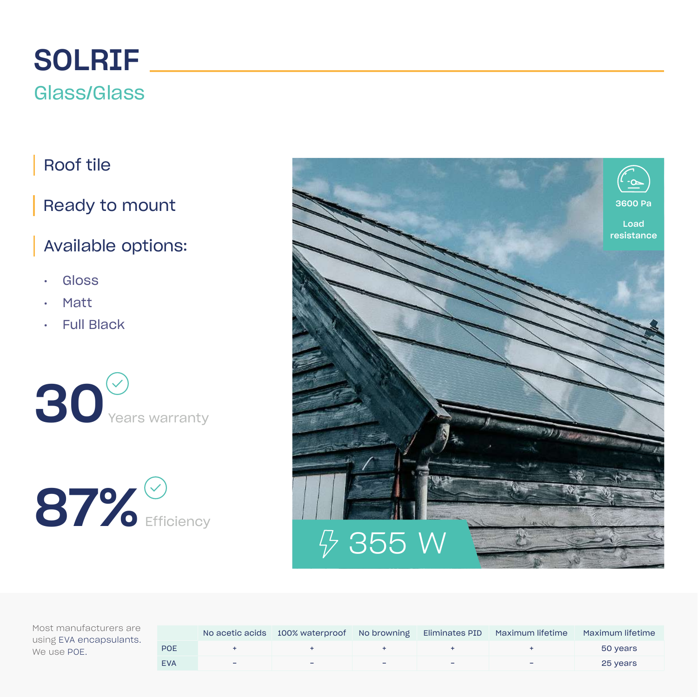# SOLRIF

### Glass/Glass

### Roof tile

### Ready to mount

### Available options:

- Gloss
- Matt
- Full Black



# $87\%$  Efficiency



|            |                          |                          |   | No acetic acids 100% waterproof No browning Eliminates PID Maximum lifetime | Maximum lifetime |
|------------|--------------------------|--------------------------|---|-----------------------------------------------------------------------------|------------------|
| POE        |                          |                          |   |                                                                             | 50 years         |
| <b>EVA</b> | $\overline{\phantom{0}}$ | $\overline{\phantom{a}}$ | - |                                                                             | 25 years         |